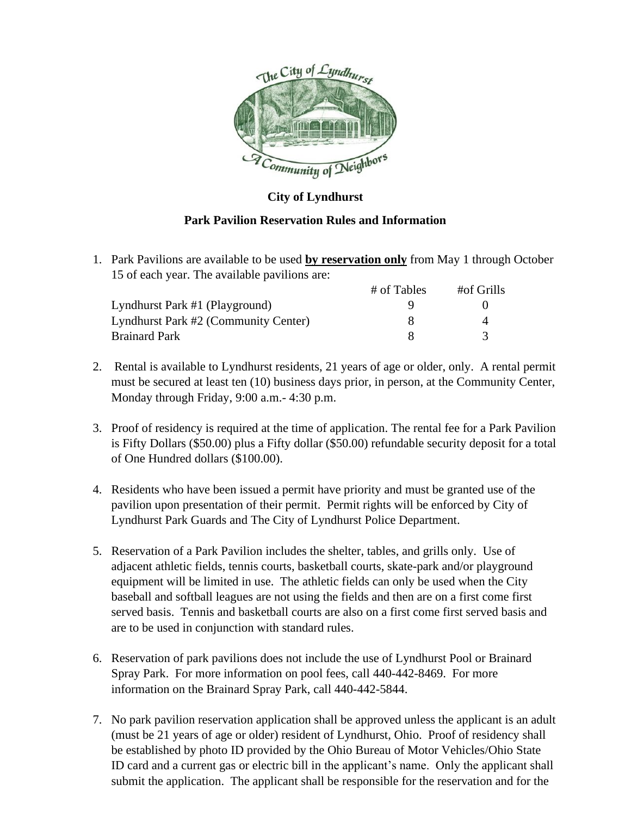

## **City of Lyndhurst**

## **Park Pavilion Reservation Rules and Information**

1. Park Pavilions are available to be used **by reservation only** from May 1 through October 15 of each year. The available pavilions are:

|                                      | # of Tables | #of Grills |  |
|--------------------------------------|-------------|------------|--|
| Lyndhurst Park #1 (Playground)       |             |            |  |
| Lyndhurst Park #2 (Community Center) |             |            |  |
| <b>Brainard Park</b>                 |             |            |  |

- 2. Rental is available to Lyndhurst residents, 21 years of age or older, only. A rental permit must be secured at least ten (10) business days prior, in person, at the Community Center, Monday through Friday, 9:00 a.m.- 4:30 p.m.
- 3. Proof of residency is required at the time of application. The rental fee for a Park Pavilion is Fifty Dollars (\$50.00) plus a Fifty dollar (\$50.00) refundable security deposit for a total of One Hundred dollars (\$100.00).
- 4. Residents who have been issued a permit have priority and must be granted use of the pavilion upon presentation of their permit. Permit rights will be enforced by City of Lyndhurst Park Guards and The City of Lyndhurst Police Department.
- 5. Reservation of a Park Pavilion includes the shelter, tables, and grills only. Use of adjacent athletic fields, tennis courts, basketball courts, skate-park and/or playground equipment will be limited in use. The athletic fields can only be used when the City baseball and softball leagues are not using the fields and then are on a first come first served basis. Tennis and basketball courts are also on a first come first served basis and are to be used in conjunction with standard rules.
- 6. Reservation of park pavilions does not include the use of Lyndhurst Pool or Brainard Spray Park. For more information on pool fees, call 440-442-8469. For more information on the Brainard Spray Park, call 440-442-5844.
- 7. No park pavilion reservation application shall be approved unless the applicant is an adult (must be 21 years of age or older) resident of Lyndhurst, Ohio. Proof of residency shall be established by photo ID provided by the Ohio Bureau of Motor Vehicles/Ohio State ID card and a current gas or electric bill in the applicant's name. Only the applicant shall submit the application. The applicant shall be responsible for the reservation and for the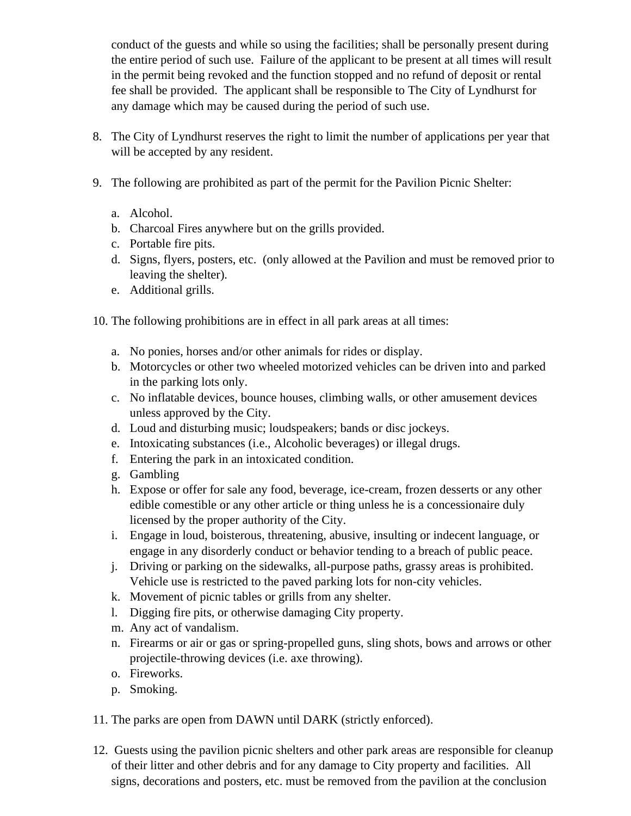conduct of the guests and while so using the facilities; shall be personally present during the entire period of such use. Failure of the applicant to be present at all times will result in the permit being revoked and the function stopped and no refund of deposit or rental fee shall be provided. The applicant shall be responsible to The City of Lyndhurst for any damage which may be caused during the period of such use.

- 8. The City of Lyndhurst reserves the right to limit the number of applications per year that will be accepted by any resident.
- 9. The following are prohibited as part of the permit for the Pavilion Picnic Shelter:
	- a. Alcohol.
	- b. Charcoal Fires anywhere but on the grills provided.
	- c. Portable fire pits.
	- d. Signs, flyers, posters, etc. (only allowed at the Pavilion and must be removed prior to leaving the shelter).
	- e. Additional grills.
- 10. The following prohibitions are in effect in all park areas at all times:
	- a. No ponies, horses and/or other animals for rides or display.
	- b. Motorcycles or other two wheeled motorized vehicles can be driven into and parked in the parking lots only.
	- c. No inflatable devices, bounce houses, climbing walls, or other amusement devices unless approved by the City.
	- d. Loud and disturbing music; loudspeakers; bands or disc jockeys.
	- e. Intoxicating substances (i.e., Alcoholic beverages) or illegal drugs.
	- f. Entering the park in an intoxicated condition.
	- g. Gambling
	- h. Expose or offer for sale any food, beverage, ice-cream, frozen desserts or any other edible comestible or any other article or thing unless he is a concessionaire duly licensed by the proper authority of the City.
	- i. Engage in loud, boisterous, threatening, abusive, insulting or indecent language, or engage in any disorderly conduct or behavior tending to a breach of public peace.
	- j. Driving or parking on the sidewalks, all-purpose paths, grassy areas is prohibited. Vehicle use is restricted to the paved parking lots for non-city vehicles.
	- k. Movement of picnic tables or grills from any shelter.
	- l. Digging fire pits, or otherwise damaging City property.
	- m. Any act of vandalism.
	- n. Firearms or air or gas or spring-propelled guns, sling shots, bows and arrows or other projectile-throwing devices (i.e. axe throwing).
	- o. Fireworks.
	- p. Smoking.
- 11. The parks are open from DAWN until DARK (strictly enforced).
- 12. Guests using the pavilion picnic shelters and other park areas are responsible for cleanup of their litter and other debris and for any damage to City property and facilities. All signs, decorations and posters, etc. must be removed from the pavilion at the conclusion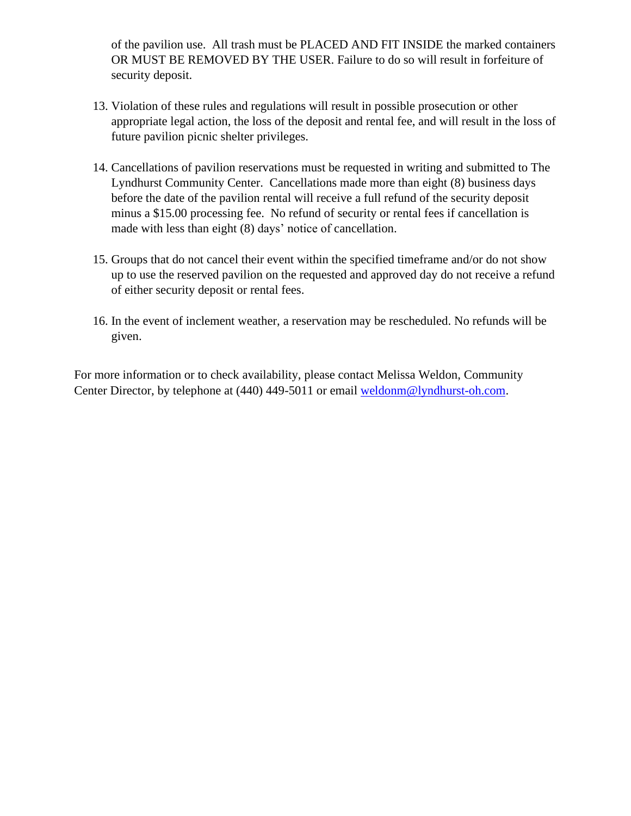of the pavilion use. All trash must be PLACED AND FIT INSIDE the marked containers OR MUST BE REMOVED BY THE USER. Failure to do so will result in forfeiture of security deposit.

- 13. Violation of these rules and regulations will result in possible prosecution or other appropriate legal action, the loss of the deposit and rental fee, and will result in the loss of future pavilion picnic shelter privileges.
- 14. Cancellations of pavilion reservations must be requested in writing and submitted to The Lyndhurst Community Center. Cancellations made more than eight (8) business days before the date of the pavilion rental will receive a full refund of the security deposit minus a \$15.00 processing fee. No refund of security or rental fees if cancellation is made with less than eight (8) days' notice of cancellation.
- 15. Groups that do not cancel their event within the specified timeframe and/or do not show up to use the reserved pavilion on the requested and approved day do not receive a refund of either security deposit or rental fees.
- 16. In the event of inclement weather, a reservation may be rescheduled. No refunds will be given.

For more information or to check availability, please contact Melissa Weldon, Community Center Director, by telephone at (440) 449-5011 or email [weldonm@lyndhurst-oh.com.](mailto:weldonm@lyndhurst-oh.com)